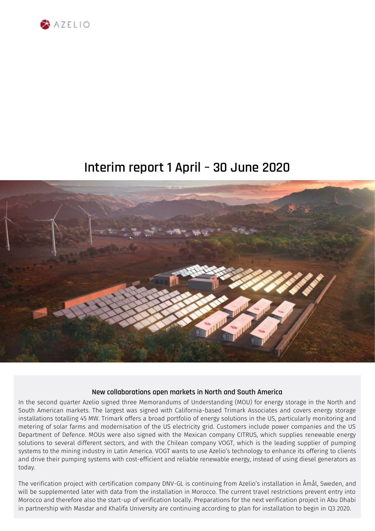

# **Interim report 1 April – 30 June 2020**



### **New collaborations open markets in North and South America**

In the second quarter Azelio signed three Memorandums of Understanding (MOU) for energy storage in the North and South American markets. The largest was signed with California-based Trimark Associates and covers energy storage installations totalling 45 MW. Trimark offers a broad portfolio of energy solutions in the US, particularly monitoring and metering of solar farms and modernisation of the US electricity grid. Customers include power companies and the US Department of Defence. MOUs were also signed with the Mexican company CITRUS, which supplies renewable energy solutions to several different sectors, and with the Chilean company VOGT, which is the leading supplier of pumping systems to the mining industry in Latin America. VOGT wants to use Azelio's technology to enhance its offering to clients and drive their pumping systems with cost-efficient and reliable renewable energy, instead of using diesel generators as today.

The verification project with certification company DNV-GL is continuing from Azelio's installation in Åmål, Sweden, and will be supplemented later with data from the installation in Morocco. The current travel restrictions prevent entry into Morocco and therefore also the start-up of verification locally. Preparations for the next verification project in Abu Dhabi in partnership with Masdar and Khalifa University are continuing according to plan for installation to begin in Q3 2020.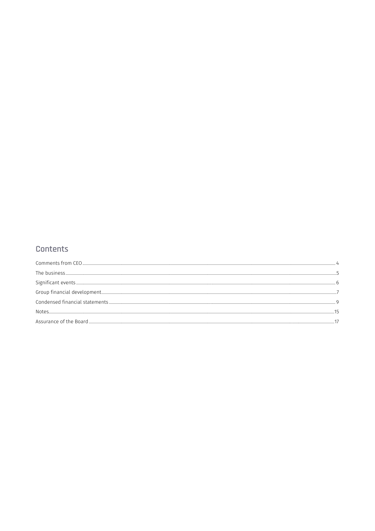### Contents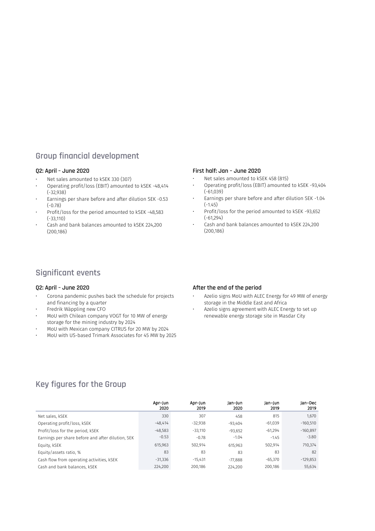### **Group financial development**

#### **Q2: April – June 2020**

- Net sales amounted to kSEK 330 (307)
- Operating profit/loss (EBIT) amounted to kSEK -48,414 (-32,938)
- Earnings per share before and after dilution SEK -0.53 (-0.78)
- Profit/loss for the period amounted to kSEK -48,583 (-33,110)
- Cash and bank balances amounted to kSEK 224,200 (200,186)

#### **First half: Jan – June 2020**

- Net sales amounted to kSEK 458 (815)
- Operating profit/loss (EBIT) amounted to kSEK -93,404 (-61,039)
- Earnings per share before and after dilution SEK -1.04 (-1.45)
- Profit/loss for the period amounted to kSEK -93,652 (-61,294)
- Cash and bank balances amounted to kSEK 224,200 (200,186)

### **Significant events**

#### **Q2: April – June 2020**

- Corona pandemic pushes back the schedule for projects and financing by a quarter
- Fredrik Wäppling new CFO
- MoU with Chilean company VOGT for 10 MW of energy storage for the mining industry by 2024
- MoU with Mexican company CITRUS for 20 MW by 2024
- MoU with US-based Trimark Associates for 45 MW by 2025

#### **After the end of the period**

- Azelio signs MoU with ALEC Energy for 49 MW of energy storage in the Middle East and Africa
- Azelio signs agreement with ALEC Energy to set up renewable energy storage site in Masdar City

### **Key figures for the Group**

<span id="page-2-0"></span>

|                                                   | Apr-Jun<br>2020 | Apr-Jun<br>2019 | Jan-Jun<br>2020 | Jan-Jun<br>2019 | Jan-Dec<br>2019 |
|---------------------------------------------------|-----------------|-----------------|-----------------|-----------------|-----------------|
| Net sales, kSEK                                   | 330             | 307             | 458             | 815             | 1,670           |
| Operating profit/loss, kSEK                       | $-48.414$       | $-32,938$       | -93,404         | $-61,039$       | $-160,510$      |
| Profit/loss for the period, KSEK                  | $-48,583$       | $-33.110$       | $-93.652$       | $-61.294$       | $-160,897$      |
| Earnings per share before and after dilution, SEK | $-0.53$         | $-0.78$         | $-1.04$         | $-1.45$         | $-3.80$         |
| Equity, kSEK                                      | 615,963         | 502,914         | 615,963         | 502,914         | 710,374         |
| Equity/assets ratio, %                            | 83              | 83              | 83              | 83              | 82              |
| Cash flow from operating activities, kSEK         | $-31,336$       | $-15.431$       | $-77.888$       | $-65,370$       | $-129,853$      |
| Cash and bank balances, kSEK                      | 224,200         | 200.186         | 224,200         | 200.186         | 55.634          |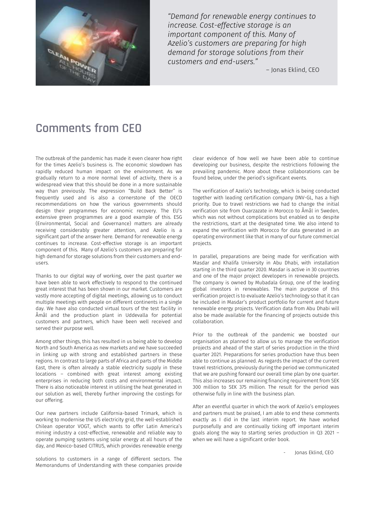

*"Demand for renewable energy continues to increase. Cost-effective storage is an important component of this. Many of Azelio's customers are preparing for high demand for storage solutions from their customers and end-users."*

– Jonas Eklind, CEO

## **Comments from CEO**

The outbreak of the pandemic has made it even clearer how right for the times Azelio's business is. The economic slowdown has rapidly reduced human impact on the environment. As we gradually return to a more normal level of activity, there is a widespread view that this should be done in a more sustainable way than previously. The expression "Build Back Better" is frequently used and is also a cornerstone of the OECD recommendations on how the various governments should design their programmes for economic recovery. The EU's extensive green programmes are a good example of this. ESG (Environmental, Social and Governance) matters are already receiving considerably greater attention, and Azelio is a significant part of the answer here. Demand for renewable energy continues to increase. Cost-effective storage is an important component of this. Many of Azelio's customers are preparing for high demand for storage solutions from their customers and endusers.

Thanks to our digital way of working, over the past quarter we have been able to work effectively to respond to the continued great interest that has been shown in our market. Customers are vastly more accepting of digital meetings, allowing us to conduct multiple meetings with people on different continents in a single day. We have also conducted virtual tours of the test facility in Åmål and the production plant in Uddevalla for potential customers and partners, which have been well received and served their purpose well.

Among other things, this has resulted in us being able to develop North and South America as new markets and we have succeeded in linking up with strong and established partners in these regions. In contrast to large parts of Africa and parts of the Middle East, there is often already a stable electricity supply in these locations – combined with great interest among existing enterprises in reducing both costs and environmental impact. There is also noticeable interest in utilising the heat generated in our solution as well, thereby further improving the costings for our offering.

Our new partners include California-based Trimark, which is working to modernise the US electricity grid, the well-established Chilean operator VOGT, which wants to offer Latin America's mining industry a cost-effective, renewable and reliable way to operate pumping systems using solar energy at all hours of the day, and Mexico-based CITRUS, which provides renewable energy

solutions to customers in a range of different sectors. The Memorandums of Understanding with these companies provide

clear evidence of how well we have been able to continue developing our business, despite the restrictions following the prevailing pandemic. More about these collaborations can be found below, under the period's significant events.

The verification of Azelio's technology, which is being conducted together with leading certification company DNV-GL, has a high priority. Due to travel restrictions we had to change the initial verification site from Ouarzazate in Morocco to Åmål in Sweden, which was not without complications but enabled us to despite the restrictions, start at the designated time. We also intend to expand the verification with Morocco for data generated in an operating environment like that in many of our future commercial projects.

In parallel, preparations are being made for verification with Masdar and Khalifa University in Abu Dhabi, with installation starting in the third quarter 2020. Masdar is active in 30 countries and one of the major project developers in renewable projects. The company is owned by Mubadala Group, one of the leading global investors in renewables. The main purpose of this verification project is to evaluate Azelio's technology so that it can be included in Masdar's product portfolio for current and future renewable energy projects. Verification data from Abu Dhabi will also be made available for the financing of projects outside this collaboration.

Prior to the outbreak of the pandemic we boosted our organisation as planned to allow us to manage the verification projects and ahead of the start of series production in the third quarter 2021. Preparations for series production have thus been able to continue as planned. As regards the impact of the current travel restrictions, previously during the period we communicated that we are pushing forward our overall time plan by one quarter. This also increases our remaining financing requirement from SEK 300 million to SEK 375 million. The result for the period was otherwise fully in line with the business plan.

After an eventful quarter in which the work of Azelio's employees and partners must be praised, I am able to end these comments exactly as I did in the last interim report. We have worked purposefully and are continually ticking off important interim goals along the way to starting series production in Q3 2021 – when we will have a significant order book.

Jonas Eklind, CEO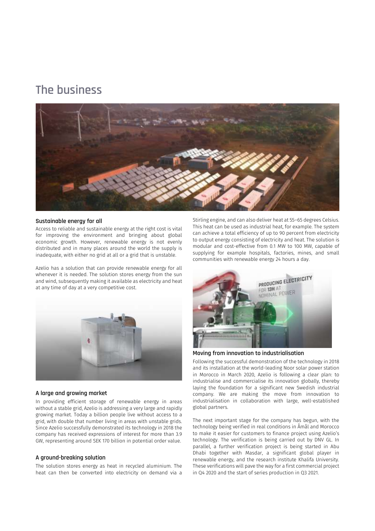## <span id="page-4-0"></span>**The business**



#### **Sustainable energy for all**

Access to reliable and sustainable energy at the right cost is vital for improving the environment and bringing about global economic growth. However, renewable energy is not evenly distributed and in many places around the world the supply is inadequate, with either no grid at all or a grid that is unstable.

Azelio has a solution that can provide renewable energy for all whenever it is needed. The solution stores energy from the sun and wind, subsequently making it available as electricity and heat at any time of day at a very competitive cost.



#### **A large and growing market**

In providing efficient storage of renewable energy in areas without a stable grid, Azelio is addressing a very large and rapidly growing market. Today a billion people live without access to a grid, with double that number living in areas with unstable grids. Since Azelio successfully demonstrated its technology in 2018 the company has received expressions of interest for more than 3.9 GW, representing around SEK 170 billion in potential order value.

#### **A ground-breaking solution**

The solution stores energy as heat in recycled aluminium. The heat can then be converted into electricity on demand via a

Stirling engine, and can also deliver heat at 55–65 degrees Celsius. This heat can be used as industrial heat, for example. The system can achieve a total efficiency of up to 90 percent from electricity to output energy consisting of electricity and heat. The solution is modular and cost-effective from 0.1 MW to 100 MW, capable of supplying for example hospitals, factories, mines, and small communities with renewable energy 24 hours a day.



**Moving from innovation to industrialisation**

Following the successful demonstration of the technology in 2018 and its installation at the world-leading Noor solar power station in Morocco in March 2020, Azelio is following a clear plan: to industrialise and commercialise its innovation globally, thereby laying the foundation for a significant new Swedish industrial company. We are making the move from innovation to industrialisation in collaboration with large, well-established global partners.

The next important stage for the company has begun, with the technology being verified in real conditions in Åmål and Morocco to make it easier for customers to finance project using Azelio's technology. The verification is being carried out by DNV GL. In parallel, a further verification project is being started in Abu Dhabi together with Masdar, a significant global player in renewable energy, and the research institute Khalifa University. These verifications will pave the way for a first commercial project in Q4 2020 and the start of series production in Q3 2021.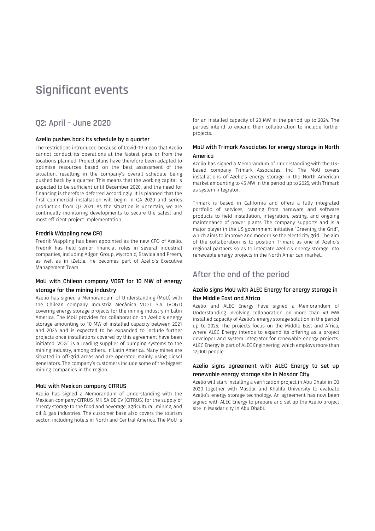## <span id="page-5-0"></span>**Significant events**

### **Q2: April – June 2020**

#### **Azelio pushes back its schedule by a quarter**

The restrictions introduced because of Covid-19 mean that Azelio cannot conduct its operations at the fastest pace or from the locations planned. Project plans have therefore been adapted to optimise resources based on the best assessment of the situation, resulting in the company's overall schedule being pushed back by a quarter. This means that the working capital is expected to be sufficient until December 2020, and the need for financing is therefore deferred accordingly. It is planned that the first commercial installation will begin in Q4 2020 and series production from Q3 2021. As the situation is uncertain, we are continually monitoring developments to secure the safest and most efficient project implementation.

#### **Fredrik Wäppling new CFO**

Fredrik Wäppling has been appointed as the new CFO of Azelio. Fredrik has held senior financial roles in several industrial companies, including Allgon Group, Mycronic, Bravida and Preem, as well as in iZettle. He becomes part of Azelio's Executive Management Team.

#### **MoU with Chilean company VOGT for 10 MW of energy storage for the mining industry**

Azelio has signed a Memorandum of Understanding (MoU) with the Chilean company Industria Mecánica VOGT S.A. (VOGT) covering energy storage projects for the mining industry in Latin America. The MoU provides for collaboration on Azelio's energy storage amounting to 10 MW of installed capacity between 2021 and 2024 and is expected to be expanded to include further projects once installations covered by this agreement have been initiated. VOGT is a leading supplier of pumping systems to the mining industry, among others, in Latin America. Many mines are situated in off-grid areas and are operated mainly using diesel generators. The company's customers include some of the biggest mining companies in the region.

#### **MoU with Mexican company CITRUS**

Azelio has signed a Memorandum of Understanding with the Mexican company CITRUS JMK SA DE CV (CITRUS) for the supply of energy storage to the food and beverage, agricultural, mining, and oil & gas industries. The customer base also covers the tourism sector, including hotels in North and Central America. The MoU is

for an installed capacity of 20 MW in the period up to 2024. The parties intend to expand their collaboration to include further projects.

#### **MoU with Trimark Associates for energy storage in North America**

Azelio has signed a Memorandum of Understanding with the USbased company Trimark Associates, Inc. The MoU covers installations of Azelio's energy storage in the North American market amounting to 45 MW in the period up to 2025, with Trimark as system integrator.

Trimark is based in California and offers a fully integrated portfolio of services, ranging from hardware and software products to field installation, integration, testing, and ongoing maintenance of power plants. The company supports and is a major player in the US government initiative "Greening the Grid", which aims to improve and modernise the electricity grid. The aim of the collaboration is to position Trimark as one of Azelio's regional partners so as to integrate Azelio's energy storage into renewable energy projects in the North American market.

### **After the end of the period**

#### **Azelio signs MoU with ALEC Energy for energy storage in the Middle East and Africa**

Azelio and ALEC Energy have signed a Memorandum of Understanding involving collaboration on more than 49 MW installed capacity of Azelio's energy storage solution in the period up to 2025. The projects focus on the Middle East and Africa, where ALEC Energy intends to expand its offering as a project developer and system integrator for renewable energy projects. ALEC Energy is part of ALEC Engineering, which employs more than 12,000 people.

#### **Azelio signs agreement with ALEC Energy to set up renewable energy storage site in Masdar City**

Azelio will start installing a verification project in Abu Dhabi in Q3 2020 together with Masdar and Khalifa University to evaluate Azelio's energy storage technology. An agreement has now been signed with ALEC Energy to prepare and set up the Azelio project site in Masdar city in Abu Dhabi.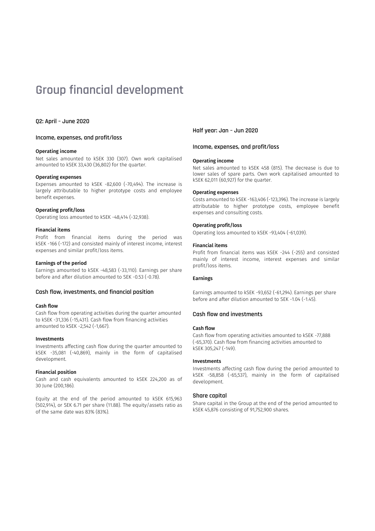## <span id="page-6-0"></span>**Group financial development**

#### **Q2: April – June 2020**

#### **Income, expenses, and profit/loss**

#### Operating income

Net sales amounted to kSEK 330 (307). Own work capitalised amounted to kSEK 33,430 (36,802) for the quarter.

#### Operating expenses

Expenses amounted to kSEK -82,600 (-70,494). The increase is largely attributable to higher prototype costs and employee benefit expenses.

#### Operating profit/loss

Operating loss amounted to kSEK -48,414 (-32,938).

#### Financial items

Profit from financial items during the period was kSEK -166 (-172) and consisted mainly of interest income, interest expenses and similar profit/loss items.

#### Earnings of the period

Earnings amounted to kSEK -48,583 (-33,110). Earnings per share before and after dilution amounted to SEK -0.53 (-0.78).

#### **Cash flow, investments, and financial position**

#### Cash flow

Cash flow from operating activities during the quarter amounted to kSEK -31,336 (-15,431). Cash flow from financing activities amounted to kSEK -2,542 (-1,667).

#### Investments

Investments affecting cash flow during the quarter amounted to kSEK -35,081 (-40,869), mainly in the form of capitalised development.

#### Financial position

Cash and cash equivalents amounted to kSEK 224,200 as of 30 June (200,186).

Equity at the end of the period amounted to kSEK 615,963 (502,914), or SEK 6.71 per share (11.88). The equity/assets ratio as of the same date was 83% (83%).

**Half year: Jan – Jun 2020** 

#### **Income, expenses, and profit/loss**

#### Operating income

Net sales amounted to kSEK 458 (815). The decrease is due to lower sales of spare parts. Own work capitalised amounted to kSEK 62,011 (60,927) for the quarter.

#### Operating expenses

Costs amounted to kSEK -163,406 (-123,396). The increase is largely attributable to higher prototype costs, employee benefit expenses and consulting costs.

#### Operating profit/loss

Operating loss amounted to kSEK -93,404 (-61,039).

#### Financial items

Profit from financial items was kSEK -244 (-255) and consisted mainly of interest income, interest expenses and similar profit/loss items.

#### Earnings

Earnings amounted to kSEK -93,652 (-61,294). Earnings per share before and after dilution amounted to SEK -1.04 (-1.45).

#### **Cash flow and investments**

#### Cash flow

Cash flow from operating activities amounted to kSEK -77,888 (-65,370). Cash flow from financing activities amounted to kSEK 305,247 (-149).

#### Investments

Investments affecting cash flow during the period amounted to kSEK -58,858 (-65,537), mainly in the form of capitalised development.

#### **Share capital**

Share capital in the Group at the end of the period amounted to kSEK 45,876 consisting of 91,752,900 shares.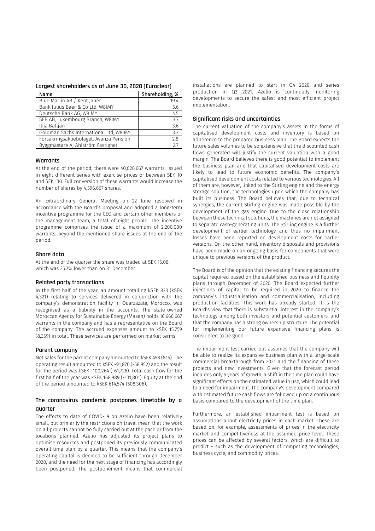#### **Largest shareholders as of June 30, 2020 (Euroclear)**

| Name                                    | Shareholding, % |
|-----------------------------------------|-----------------|
| Blue Marlin AB / Kent Janér             | 19.4            |
| Bank Julius Baer & Co Ltd, W8IMY        | 5.6             |
| Deutsche Bank AG, W8IMY                 | 4.5             |
| SEB AB, Luxembourg Branch, W8IMY        | 3.7             |
| Ilija Batljan                           | 3.6             |
| Goldman Sachs International Ltd, W8IMY  | 3.3             |
| Försäkringsaktiebolaget, Avanza Pension | 2.8             |
| Byggmästare AJ Ahlström Fastighet       | 27              |

#### **Warrants**

At the end of the period, there were 40,026,667 warrants, issued in eight different series with exercise prices of between SEK 10 and SEK 130. Full conversion of these warrants would increase the number of shares by 4,596,667 shares.

An Extraordinary General Meeting on 22 June resolved in accordance with the Board's proposal and adopted a long-term incentive programme for the CEO and certain other members of the management team, a total of eight people. The incentive programme comprises the issue of a maximum of 2,200,000 warrants, beyond the mentioned share issues at the end of the period.

#### **Share data**

At the end of the quarter the share was traded at SEK 15.08, which was 25.7% lower than on 31 December.

#### **Related party transactions**

In the first half of the year, an amount totalling kSEK 833 (kSEK 4,321) relating to services delivered in conjunction with the company's demonstration facility in Ouarzazate, Morocco, was recognised as a liability in the accounts. The state-owned Moroccan Agency for Sustainable Energy (Masen) holds 16,666,667 warrants in the company and has a representative on the Board of the company. The accrued expenses amount to kSEK 15,759 (8,359) in total. These services are performed on market terms.

#### **Parent company**

Net sales for the parent company amounted to kSEK 458 (815). The operating result amounted to kSEK -91,870 (-58,952) and the result for the period was kSEK -100,264 (-61,726). Total cash flow for the first half of the year was kSEK 168,989 (-131,801). Equity at the end of the period amounted to kSEK 614,574 (508,306).

#### **The coronavirus pandemic postpones timetable by a quarter**

The effects to date of COVID-19 on Azelio have been relatively small, but primarily the restrictions on travel mean that the work on all projects cannot be fully carried out at the pace or from the locations planned. Azelio has adjusted its project plans to optimise resources and postponed its previously communicated overall time plan by a quarter. This means that the company's operating capital is deemed to be sufficient through December 2020, and the need for the next stage of financing has accordingly been postponed. The postponement means that commercial installations are planned to start in Q4 2020 and series production in Q3 2021. Azelio is continually monitoring developments to secure the safest and most efficient project implementation.

#### **Significant risks and uncertainties**

The current valuation of the company's assets in the forms of capitalised development costs and inventory is based on adherence to the prepared business plan. The Board expects the future sales volumes to be so extensive that the discounted cash flows generated will justify the current valuation with a good margin. The Board believes there is good potential to implement the business plan and that capitalised development costs are likely to lead to future economic benefits. The company's capitalised development costs related to various technologies. All of them are, however, linked to the Stirling engine and the energy storage solution, the technologies upon which the company has built its business. The Board believes that, due to technical synergies, the current Stirling engine was made possible by the development of the gas engine. Due to the close relationship between these technical solutions, the machines are not assigned to separate cash-generating units. The Stirling engine is a further development of earlier technology and thus no impairment losses have been reported on development costs for earlier versions. On the other hand, inventory disposals and provisions have been made on an ongoing basis for components that were unique to previous versions of the product.

The Board is of the opinion that the existing financing secures the capital required based on the established business and liquidity plans through December of 2020. The Board expected further injections of capital to be required in 2020 to finance the company's industrialisation and commercialisation, including production facilities. This work has already started. It is the Board's view that there is substantial interest in the company's technology among both investors and potential customers, and that the company has a strong ownership structure. The potential for implementing our future expansive financing plans is considered to be good.

The impairment test carried out assumes that the company will be able to realize its expansive business plan with a large-scale commercial breakthrough from 2021 and the financing of these projects and new investments. Given that the forecast period includes only 5 years of growth, a shift in the time plan could have significant effects on the estimated value in use, which could lead to a need for impairment. The company's development compared with estimated future cash flows are followed up on a continuous basis compared to the development of the time plan.

Furthermore, an established impairment test is based on assumptions about electricity prices in each market. These are based on, for example, assessments of prices in the electricity market and competitiveness at the assumed price level. These prices can be affected by several factors, which are difficult to predict - such as the development of competing technologies, business cycle, and commodity prices.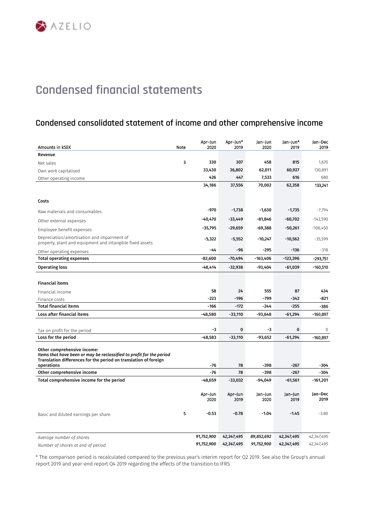### <span id="page-8-0"></span>**Condensed consolidated statement of income and other comprehensive income**

| Amounts in KSEK                                                                                                                                                                       | Note | Apr-Jun<br>2020            | Apr-Jun*<br>2019           | Jan-Jun<br>2020            | Jan-Jun*<br>2019           | Jan-Dec<br>2019            |
|---------------------------------------------------------------------------------------------------------------------------------------------------------------------------------------|------|----------------------------|----------------------------|----------------------------|----------------------------|----------------------------|
| Revenue                                                                                                                                                                               |      |                            |                            |                            |                            |                            |
| Net sales                                                                                                                                                                             | 3    | 330                        | 307                        | 458                        | 815                        | 1,670                      |
| Own work capitalised                                                                                                                                                                  |      | 33,430                     | 36,802                     | 62,011                     | 60,927                     | 130,891                    |
| Other operating income                                                                                                                                                                |      | 426                        | 447                        | 7,533                      | 616                        | 680                        |
|                                                                                                                                                                                       |      | 34,186                     | 37,556                     | 70,002                     | 62,358                     | 133,241                    |
| Costs                                                                                                                                                                                 |      |                            |                            |                            |                            |                            |
| Raw materials and consumables                                                                                                                                                         |      | $-970$                     | $-1,738$                   | $-1,630$                   | $-1,735$                   | $-7,794$                   |
| Other external expenses                                                                                                                                                               |      | $-40,470$                  | $-33,449$                  | $-81,846$                  | $-60,702$                  | $-143,590$                 |
| Employee benefit expenses                                                                                                                                                             |      | $-35,795$                  | $-29,659$                  | $-69,388$                  | -50,261                    | $-106,450$                 |
| Depreciation/amortisation and impairment of<br>property, plant and equipment and intangible fixed assets                                                                              |      | $-5,322$                   | $-5,552$                   | $-10,247$                  | $-10,562$                  | $-35,599$                  |
| Other operating expenses                                                                                                                                                              |      | $-44$                      | -96                        | $-295$                     | $-136$                     | $-318$                     |
| <b>Total operating expenses</b>                                                                                                                                                       |      | $-82,600$                  | $-70,494$                  | $-163,406$                 | $-123,396$                 | $-293.751$                 |
| <b>Operating loss</b>                                                                                                                                                                 |      | $-48,414$                  | $-32,938$                  | -93,404                    | $-61,039$                  | $-160,510$                 |
|                                                                                                                                                                                       |      |                            |                            |                            |                            |                            |
| <b>Financial items</b>                                                                                                                                                                |      |                            |                            |                            |                            |                            |
| Financial income                                                                                                                                                                      |      | 58                         | 24                         | 555                        | 87                         | 434                        |
| Finance costs                                                                                                                                                                         |      | $-223$                     | $-196$                     | $-799$                     | $-342$                     | $-821$                     |
| <b>Total financial items</b>                                                                                                                                                          |      | $-166$                     | $-172$                     | $-244$                     | $-255$                     | $-386$                     |
| Loss after financial items                                                                                                                                                            |      | $-48,580$                  | $-33,110$                  | $-93,648$                  | $-61,294$                  | $-160.897$                 |
| Tax on profit for the period                                                                                                                                                          |      | -3                         | 0                          | -3                         | 0                          | $\mathbf 0$                |
| Loss for the period                                                                                                                                                                   |      | $-48,583$                  | $-33,110$                  | $-93,652$                  | $-61,294$                  | $-160,897$                 |
| Other comprehensive income:<br>Items that have been or may be reclassified to profit for the period<br>Translation differences for the period on translation of foreign<br>operations |      | $-76$                      | 78                         | $-398$                     | $-267$                     | -304                       |
| Other comprehensive income                                                                                                                                                            |      | $-76$                      | 78                         | $-398$                     | $-267$                     | -304                       |
| Total comprehensive income for the period                                                                                                                                             |      | $-48,659$                  | $-33,032$                  | -94,049                    | $-61,561$                  | $-161,201$                 |
|                                                                                                                                                                                       | 5    | Apr-Jun<br>2020<br>$-0.53$ | Apr-Jun<br>2019<br>$-0.78$ | Jan-Jun<br>2020<br>$-1.04$ | Jan-Jun<br>2019<br>$-1.45$ | Jan-Dec<br>2019<br>$-3.80$ |
| Basic and diluted earnings per share                                                                                                                                                  |      |                            |                            |                            |                            |                            |
| Average number of shares                                                                                                                                                              |      | 91,752,900                 | 42,347,495                 | 89,852,692                 | 42,347,495                 | 42,347,495                 |
| Number of shares at end of period                                                                                                                                                     |      | 91,752,900                 | 42,347,495                 | 91,752,900                 | 42,347,495                 | 42,347,495                 |

\* The comparison period is recalculated compared to the previous year's interim report for Q2 2019. See also the Group's annual report 2019 and year-end report Q4 2019 regarding the effects of the transition to IFRS.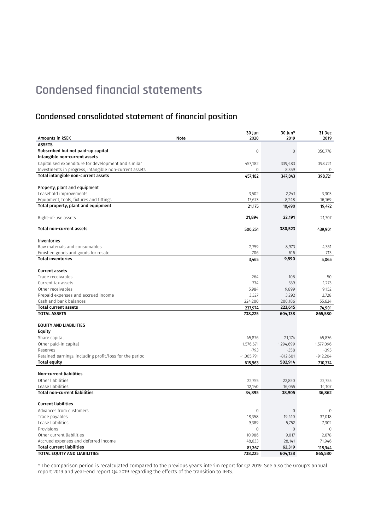### **Condensed consolidated statement of financial position**

|                                                                                               |      | 30 Jun       | 30 Jun*        | 31 Dec                 |
|-----------------------------------------------------------------------------------------------|------|--------------|----------------|------------------------|
| Amounts in kSEK                                                                               | Note | 2020         | 2019           | 2019                   |
| <b>ASSETS</b>                                                                                 |      |              |                |                        |
| Subscribed but not paid-up capital                                                            |      | $\mathbf 0$  | $\overline{0}$ | 350,778                |
| Intangible non-current assets                                                                 |      |              |                |                        |
| Capitalised expenditure for development and similar                                           |      | 457,182      | 339,483        | 398,721                |
| Investments in progress, intangible non-current assets<br>Total intangible non-current assets |      | 0            | 8,359          | $\mathbf 0$<br>398,721 |
|                                                                                               |      | 457,182      | 347,843        |                        |
| Property, plant and equipment                                                                 |      |              |                |                        |
| Leasehold improvements                                                                        |      | 3,502        | 2,241          | 3,303                  |
| Equipment, tools, fixtures and fittings                                                       |      | 17,673       | 8,248          | 16,169                 |
| Total property, plant and equipment                                                           |      | 21,175       | 10,490         | 19,472                 |
|                                                                                               |      |              |                |                        |
| Right-of-use assets                                                                           |      | 21,894       | 22,191         | 21,707                 |
|                                                                                               |      |              |                |                        |
| <b>Total non-current assets</b>                                                               |      | 500,251      | 380,523        | 439,901                |
| Inventories                                                                                   |      |              |                |                        |
| Raw materials and consumables                                                                 |      | 2,759        | 8,973          | 4,351                  |
| Finished goods and goods for resale                                                           |      | 706          | 616            | 713                    |
| <b>Total inventories</b>                                                                      |      | 3,465        | 9,590          | 5,065                  |
|                                                                                               |      |              |                |                        |
| <b>Current assets</b>                                                                         |      |              |                |                        |
| Trade receivables                                                                             |      | 264          | 108            | 50                     |
| Current tax assets                                                                            |      | 734          | 539            | 1,273                  |
| Other receivables                                                                             |      | 5,984        | 9,899          | 9,152                  |
| Prepaid expenses and accrued income                                                           |      | 3,327        | 3,292          | 3,728                  |
| Cash and bank balances                                                                        |      | 224,200      | 200,186        | 55,634                 |
| <b>Total current assets</b>                                                                   |      | 237,974      | 223,615        | 74.901                 |
| <b>TOTAL ASSETS</b>                                                                           |      | 738,225      | 604,138        | 865,580                |
| <b>EQUITY AND LIABILITIES</b>                                                                 |      |              |                |                        |
| Equity                                                                                        |      |              |                |                        |
| Share capital                                                                                 |      | 45,876       | 21,174         | 45,876                 |
| Other paid-in capital                                                                         |      | 1,576,671    | 1,294,699      | 1,577,096              |
| Reserves                                                                                      |      | $-793$       | $-358$         | $-395$                 |
| Retained earnings, including profit/loss for the period                                       |      | $-1,005,791$ | $-812,601$     | $-912,204$             |
| <b>Total equity</b>                                                                           |      | 615,963      | 502,914        | 710,374                |
|                                                                                               |      |              |                |                        |
| <b>Non-current liabilities</b>                                                                |      |              |                |                        |
| Other liabilities                                                                             |      | 22,755       | 22,850         | 22,755                 |
| Lease liabilities<br><b>Total non-current liabilities</b>                                     |      | 12,140       | 16,055         | 14,107                 |
|                                                                                               |      | 34,895       | 38,905         | 36,862                 |
| <b>Current liabilities</b>                                                                    |      |              |                |                        |
| Advances from customers                                                                       |      | $\mathbf 0$  | $\mathbf{0}$   | 0                      |
| Trade payables                                                                                |      | 18,358       | 19,410         | 37,018                 |
| Lease liabilities                                                                             |      | 9,389        | 5,752          | 7,302                  |
| Provisions                                                                                    |      | $\mathbf 0$  | $\overline{0}$ | $\mathbf{0}$           |
| Other current liabilities                                                                     |      | 10,986       | 9,017          | 2,078                  |
| Accrued expenses and deferred income                                                          |      | 48,633       | 28,141         | 71,946                 |
| <b>Total current liabilities</b>                                                              |      | 87,367       | 62,319         | 118,344                |
| TOTAL EQUITY AND LIABILITIES                                                                  |      | 738,225      | 604,138        | 865,580                |

\* The comparison period is recalculated compared to the previous year's interim report for Q2 2019. See also the Group's annual report 2019 and year-end report Q4 2019 regarding the effects of the transition to IFRS.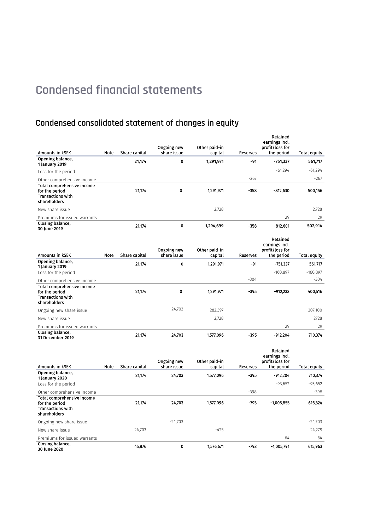## **Condensed consolidated statement of changes in equity**

| Amounts in KSEK                                                                          | Note | Share capital | Ongoing new<br>share issue | Other paid-in<br>capital | Reserves | Retained<br>earnings incl.<br>profit/loss for<br>the period | Total equity |
|------------------------------------------------------------------------------------------|------|---------------|----------------------------|--------------------------|----------|-------------------------------------------------------------|--------------|
| Opening balance,                                                                         |      | 21,174        | 0                          | 1,291,971                | -91      | $-751,337$                                                  | 561,717      |
| 1 January 2019                                                                           |      |               |                            |                          |          |                                                             |              |
| Loss for the period                                                                      |      |               |                            |                          |          | $-61,294$                                                   | $-61,294$    |
| Other comprehensive income                                                               |      |               |                            |                          | $-267$   |                                                             | $-267$       |
| Total comprehensive income<br>for the period<br><b>Transactions with</b><br>shareholders |      | 21,174        | $\mathbf 0$                | 1,291,971                | $-358$   | $-812,630$                                                  | 500.156      |
| New share issue                                                                          |      |               |                            | 2,728                    |          |                                                             | 2,728        |
| Premiums for issued warrants                                                             |      |               |                            |                          |          | 29                                                          | 29           |
| Closing balance,<br>30 June 2019                                                         |      | 21.174        | 0                          | 1,294,699                | $-358$   | $-812,601$                                                  | 502,914      |
| Amounts in kSEK                                                                          | Note | Share capital | Ongoing new<br>share issue | Other paid-in<br>capital | Reserves | Retained<br>earnings incl.<br>profit/loss for<br>the period | Total equity |
| Opening balance,                                                                         |      | 21,174        | 0                          | 1,291,971                | -91      | $-751,337$                                                  | 561,717      |
| 1 January 2019<br>Loss for the period                                                    |      |               |                            |                          |          | $-160,897$                                                  | $-160,897$   |
|                                                                                          |      |               |                            |                          | $-304$   |                                                             | $-304$       |
| Other comprehensive income<br>Total comprehensive income                                 |      |               |                            |                          |          |                                                             |              |
| for the period<br><b>Transactions with</b><br>shareholders                               |      | 21,174        | $\mathbf 0$                | 1,291,971                | $-395$   | $-912,233$                                                  | 400,516      |
| Ongoing new share issue                                                                  |      |               | 24,703                     | 282,397                  |          |                                                             | 307,100      |
| New share issue                                                                          |      |               |                            | 2,728                    |          |                                                             | 2728         |
| Premiums for issued warrants                                                             |      |               |                            |                          |          | 29                                                          | 29           |
| Closing balance,<br>31 December 2019                                                     |      | 21,174        | 24,703                     | 1,577,096                | $-395$   | $-912,204$                                                  | 710,374      |
| Amounts in kSEK                                                                          | Note | Share capital | Ongoing new<br>share issue | Other paid-in<br>capital | Reserves | Retained<br>earnings incl.<br>profit/loss for<br>the period | Total equity |

| Amounts in kSEK                                                                          | Note | Share capital | share issue | capital   | Reserves | the period   | Total equity |
|------------------------------------------------------------------------------------------|------|---------------|-------------|-----------|----------|--------------|--------------|
| Opening balance,<br>1 January 2020                                                       |      | 21,174        | 24,703      | 1.577,096 | $-395$   | $-912,204$   | 710,374      |
| Loss for the period                                                                      |      |               |             |           |          | $-93,652$    | $-93,652$    |
| Other comprehensive income                                                               |      |               |             |           | $-398$   |              | $-398$       |
| Total comprehensive income<br>for the period<br><b>Transactions with</b><br>shareholders |      | 21.174        | 24,703      | 1,577,096 | -793     | $-1.005.855$ | 616,324      |
| Ongoing new share issue                                                                  |      |               | $-24,703$   |           |          |              | $-24,703$    |
| New share issue                                                                          |      | 24,703        |             | $-425$    |          |              | 24,278       |
| Premiums for issued warrants                                                             |      |               |             |           |          | 64           | 64           |
| Closing balance,<br>30 June 2020                                                         |      | 45,876        | 0           | 1,576,671 | $-793$   | $-1,005,791$ | 615,963      |
|                                                                                          |      |               |             |           |          |              |              |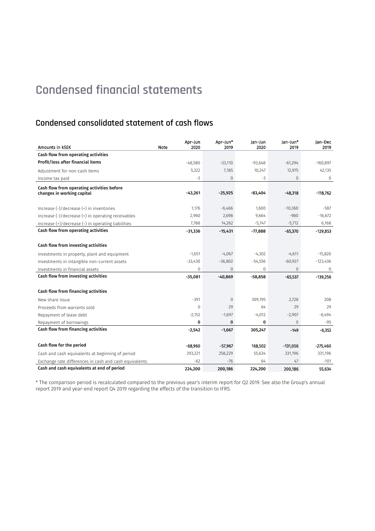## **Condensed consolidated statement of cash flows**

| Amounts in KSEK                                        | Apr-Jun<br>Note<br>2020 | Apr-Jun*<br>2019 | Jan-Jun<br>2020 | Jan-Jun*<br>2019 | Jan-Dec<br>2019 |
|--------------------------------------------------------|-------------------------|------------------|-----------------|------------------|-----------------|
| Cash flow from operating activities                    |                         |                  |                 |                  |                 |
| Profit/loss after financial items                      | $-48,580$               | $-33,110$        | $-93,648$       | $-61,294$        | $-160,897$      |
| Adjustment for non-cash items                          | 5,322                   | 7,185            | 10,247          | 12,975           | 42,135          |
| Income tax paid                                        | $-3$                    | 0                | $-3$            | 0                | $\mathbf 0$     |
| Cash flow from operating activities before             |                         |                  |                 |                  |                 |
| changes in working capital                             | $-43,261$               | $-25,925$        | $-83,404$       | $-48,318$        | $-118,762$      |
|                                                        |                         |                  |                 |                  |                 |
| Increase (-)/decrease (+) in inventories               | 1,176                   | $-6,466$         | 1,600           | $-10,360$        | $-587$          |
| Increase (-)/decrease (+) in operating receivables     | 2,960                   | 2,698            | 9,664           | $-980$           | $-16,672$       |
| Increase (+)/decrease (-) in operating liabilities     | 7,788                   | 14,262           | $-5,747$        | $-5,712$         | 6,168           |
| Cash flow from operating activities                    | $-31,336$               | $-15,431$        | $-77,888$       | $-65,370$        | $-129,853$      |
|                                                        |                         |                  |                 |                  |                 |
| Cash flow from investing activities                    |                         |                  |                 |                  |                 |
| Investments in property, plant and equipment           | $-1,651$                | $-4,067$         | $-4,302$        | $-4,611$         | $-15,820$       |
| Investments in intangible non-current assets           | $-33,430$               | $-36,802$        | $-54,556$       | $-60,927$        | $-123,436$      |
| Investments in financial assets                        | 0                       | 0                | 0               | 0                | $\mathbf 0$     |
| Cash flow from investing activities                    | $-35,081$               | $-40,869$        | $-58,858$       | $-65,537$        | $-139,256$      |
|                                                        |                         |                  |                 |                  |                 |
| Cash flow from financing activities                    |                         |                  |                 |                  |                 |
| New share issue                                        | $-391$                  | 0                | 309,195         | 2,728            | 208             |
| Proceeds from warrants sold                            | $\Omega$                | 29               | 64              | 29               | 29              |
| Repayment of lease debt                                | $-2,152$                | $-1,697$         | $-4,012$        | $-2,907$         | $-6,494$        |
| Repayment of borrowings                                | 0                       | 0                | 0               | $\Omega$         | -95             |
| Cash flow from financing activities                    | $-2,542$                | $-1,667$         | 305,247         | $-149$           | $-6,352$        |
|                                                        |                         |                  |                 |                  |                 |
| Cash flow for the period                               | $-68,960$               | $-57,967$        | 168,502         | $-131,056$       | $-275,460$      |
| Cash and cash equivalents at beginning of period       | 293,221                 | 258,229          | 55,634          | 331,196          | 331,196         |
| Exchange rate differences in cash and cash equivalents | $-62$                   | $-76$            | 64              | 47               | $-101$          |
| Cash and cash equivalents at end of period             | 224,200                 | 200,186          | 224,200         | 200.186          | 55,634          |

\* The comparison period is recalculated compared to the previous year's interim report for Q2 2019. See also the Group's annual report 2019 and year-end report Q4 2019 regarding the effects of the transition to IFRS.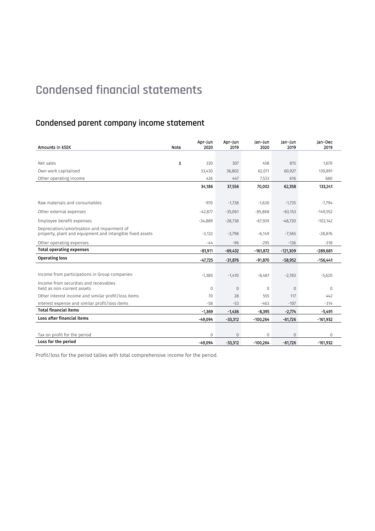## **Condensed parent company income statement**

| Amounts in KSEK                                                                                          | Note | Apr-Jun<br>2020 | Apr-Jun<br>2019 | Jan-Jun<br>2020 | Jan-Jun<br>2019 | lan-Dec<br>2019 |
|----------------------------------------------------------------------------------------------------------|------|-----------------|-----------------|-----------------|-----------------|-----------------|
|                                                                                                          |      |                 |                 |                 |                 |                 |
| Net sales                                                                                                | 3    | 330             | 307             | 458             | 815             | 1.670           |
| Own work capitalised                                                                                     |      | 33,430          | 36,802          | 62,011          | 60,927          | 130,891         |
| Other operating income                                                                                   |      | 426             | 447             | 7,533           | 616             | 680             |
|                                                                                                          |      | 34,186          | 37,556          | 70,002          | 62,358          | 133,241         |
|                                                                                                          |      |                 |                 |                 |                 |                 |
| Raw materials and consumables                                                                            |      | $-970$          | $-1,738$        | $-1,630$        | $-1,735$        | $-7,794$        |
| Other external expenses                                                                                  |      | $-42,877$       | $-35,061$       | $-85,868$       | $-63,153$       | $-149,552$      |
| Employee benefit expenses                                                                                |      | $-34,889$       | $-28,738$       | $-67,929$       | $-48,720$       | $-103,142$      |
| Depreciation/amortisation and impairment of<br>property, plant and equipment and intangible fixed assets |      | $-3,132$        | $-3,798$        | $-6,149$        | $-7,565$        | $-28,876$       |
| Other operating expenses                                                                                 |      | $-44$           | $-96$           | $-295$          | $-136$          | $-318$          |
| <b>Total operating expenses</b>                                                                          |      | $-81,911$       | $-69,432$       | $-161,872$      | $-121,309$      | $-289,681$      |
| <b>Operating loss</b>                                                                                    |      | $-47,725$       | $-31,876$       | $-91,870$       | $-58.952$       | $-156.441$      |
|                                                                                                          |      |                 |                 |                 |                 |                 |
| Income from participations in Group companies                                                            |      | $-1,380$        | $-1,410$        | $-8,487$        | $-2,783$        | $-5,620$        |
| Income from securities and receivables<br>held as non-current assets                                     |      | $\Omega$        | $\mathbf 0$     | $\Omega$        | 0               | $\Omega$        |
| Other interest income and similar profit/loss items                                                      |      | 70              | 28              | 555             | 117             | 442             |
| Interest expense and similar profit/loss items                                                           |      | $-58$           | $-53$           | $-463$          | $-107$          | $-314$          |
| <b>Total financial items</b>                                                                             |      | $-1.369$        | $-1,436$        | $-8.395$        | $-2,774$        | $-5,491$        |
| Loss after financial items                                                                               |      | $-49,094$       | $-33,312$       | $-100,264$      | $-61,726$       | $-161,932$      |
|                                                                                                          |      |                 |                 |                 |                 |                 |
| Tax on profit for the period                                                                             |      | $\Omega$        | $\Omega$        | $\Omega$        | $\Omega$        | $\Omega$        |
| Loss for the period                                                                                      |      | -49.094         | $-33,312$       | $-100,264$      | $-61,726$       | $-161,932$      |

Profit/loss for the period tallies with total comprehensive income for the period.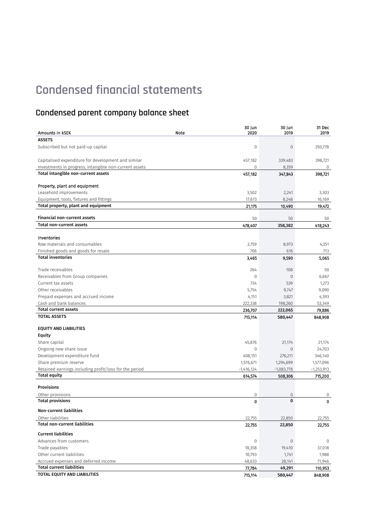## **Condensed parent company balance sheet**

|                                                        | 30 Jun       | 30 Jun         | 31 Dec       |
|--------------------------------------------------------|--------------|----------------|--------------|
| Amounts in KSEK                                        | Note<br>2020 | 2019           | 2019         |
| <b>ASSETS</b>                                          |              |                |              |
| Subscribed but not paid-up capital                     | $\mathbf{0}$ | $\mathbf 0$    | 350,778      |
| Capitalised expenditure for development and similar    | 457,182      | 339,483        | 398,721      |
| Investments in progress, intangible non-current assets | $\mathbf{0}$ | 8,359          | 0            |
| Total intangible non-current assets                    | 457,182      | 347,843        | 398,721      |
|                                                        |              |                |              |
| Property, plant and equipment                          |              |                |              |
| Leasehold improvements                                 | 3,502        | 2,241          | 3,303        |
| Equipment, tools, fixtures and fittings                | 17,673       | 8,248          | 16,169       |
| Total property, plant and equipment                    | 21,175       | 10,490         | 19,472       |
| Financial non-current assets                           | 50           | 50             | 50           |
| <b>Total non-current assets</b>                        | 478,407      | 358,382        | 418,243      |
| Inventories                                            |              |                |              |
| Raw materials and consumables                          |              |                |              |
| Finished goods and goods for resale                    | 2,759<br>706 | 8,973<br>616   | 4,351<br>713 |
| <b>Total inventories</b>                               | 3,465        | 9,590          | 5,065        |
|                                                        |              |                |              |
| Trade receivables                                      | 264          | 108            | 50           |
| Receivables from Group companies                       | $\mathbf{0}$ | $\overline{0}$ | 6,667        |
| Current tax assets                                     | 734          | 539            | 1,273        |
| Other receivables                                      | 5,754        | 9,747          | 9,090        |
| Prepaid expenses and accrued income                    | 4,151        | 3,821          | 4,393        |
| Cash and bank balances                                 | 222,338      | 198,260        | 53,349       |
| <b>Total current assets</b>                            | 236,707      | 222,065        | 79,886       |
| <b>TOTAL ASSETS</b>                                    | 715,114      | 580,447        | 848,908      |
| <b>EQUITY AND LIABILITIES</b>                          |              |                |              |
| Equity                                                 |              |                |              |
| Share capital                                          | 45,876       | 21,174         | 21,174       |
| Ongoing new share issue                                | $\mathbf{0}$ | $\mathbf 0$    | 24,703       |
| Development expenditure fund                           | 408,151      | 276,211        | 346,140      |
| Share premium reserve                                  | 1,576,671    | 1,294,699      | 1,577,096    |
| Retained earnings including profit/loss for the period | $-1,416,124$ | $-1,083,778$   | $-1,253,913$ |
| <b>Total equity</b>                                    | 614,574      | 508,306        | 715,200      |
| <b>Provisions</b>                                      |              |                |              |
| Other provisions                                       | $\mathbf 0$  | 0              | 0            |
| <b>Total provisions</b>                                | $\mathbf 0$  | $\mathbf 0$    | $\mathbf 0$  |
| <b>Non-current liabilities</b>                         |              |                |              |
| Other liabilities                                      | 22,755       | 22,850         | 22,755       |
| <b>Total non-current liabilities</b>                   | 22,755       | 22,850         | 22,755       |
| <b>Current liabilities</b>                             |              |                |              |
| Advances from customers                                | $\mathbb O$  | $\mathbf 0$    | $\mathbf 0$  |
| Trade payables                                         | 18,358       | 19,410         | 37,018       |
| Other current liabilities                              | 10,793       | 1,741          | 1,988        |
| Accrued expenses and deferred income                   | 48,633       | 28,141         | 71,946       |
| <b>Total current liabilities</b>                       | 77,784       | 49,291         | 110,953      |
| TOTAL EQUITY AND LIABILITIES                           | 715,114      | 580,447        | 848,908      |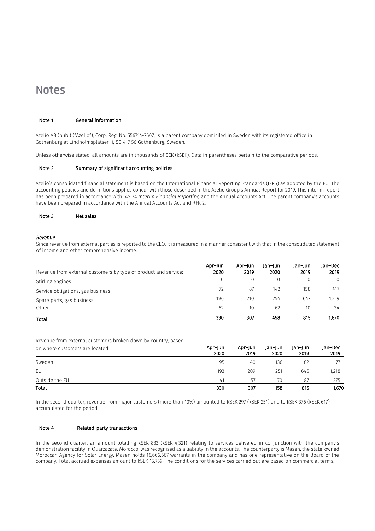## <span id="page-14-0"></span>**Notes**

#### Note 1 General information

Azelio AB (publ) ("Azelio"), Corp. Reg. No. 556714-7607, is a parent company domiciled in Sweden with its registered office in Gothenburg at Lindholmsplatsen 1, SE-417 56 Gothenburg, Sweden.

Unless otherwise stated, all amounts are in thousands of SEK (kSEK). Data in parentheses pertain to the comparative periods.

#### Note 2 Summary of significant accounting policies

Azelio's consolidated financial statement is based on the International Financial Reporting Standards (IFRS) as adopted by the EU. The accounting policies and definitions applies concur with those described in the Azelio Group's Annual Report for 2019. This interim report has been prepared in accordance with IAS 34 *Interim Financial Reporting* and the Annual Accounts Act. The parent company's accounts have been prepared in accordance with the Annual Accounts Act and RFR 2.

#### Note 3 Net sales

#### *Revenue*

Since revenue from external parties is reported to the CEO, it is measured in a manner consistent with that in the consolidated statement of income and other comprehensive income.

| Revenue from external customers by type of product and service: | Apr-Jun<br>2020 | Apr-Jun<br>2019 | Jan-Jun<br>2020 | Jan-Jun<br>2019 | lan-Dec<br>2019 |
|-----------------------------------------------------------------|-----------------|-----------------|-----------------|-----------------|-----------------|
| Stirling engines                                                |                 | 0               |                 |                 |                 |
| Service obligations, gas business                               | 72              | 87              | 142             | 158             | 417             |
| Spare parts, gas business                                       | 196             | 210             | 254             | 647             | 1.219           |
| Other                                                           | 62              | 10              | 62              | 10              | 34              |
| Total                                                           | 330             | 307             | 458             | 815             | 1.670           |

Revenue from external customers broken down by country, based

| on where customers are located: | Apr-Jun<br>2020 | Apr-Jun<br>2019 | Jan-Jun<br>2020 | Jan-Jun<br>2019 | Jan-Dec<br>2019 |
|---------------------------------|-----------------|-----------------|-----------------|-----------------|-----------------|
| Sweden                          | 95              | 40              | 136             | 82              | 177             |
| EU                              | 193             | 209             | 251             | 646             | 1,218           |
| Outside the EU                  | 41              | 57              | 70              | 87              | 275             |
| Total                           | 330             | 307             | 158             | 815             | 1,670           |

In the second quarter, revenue from major customers (more than 10%) amounted to kSEK 297 (kSEK 251) and to kSEK 376 (kSEK 617) accumulated for the period.

#### Note 4 Related-party transactions

In the second quarter, an amount totalling kSEK 833 (kSEK 4,321) relating to services delivered in conjunction with the company's demonstration facility in Ouarzazate, Morocco, was recognised as a liability in the accounts. The counterparty is Masen, the state-owned Moroccan Agency for Solar Energy. Masen holds 16,666,667 warrants in the company and has one representative on the Board of the company. Total accrued expenses amount to kSEK 15,759. The conditions for the services carried out are based on commercial terms.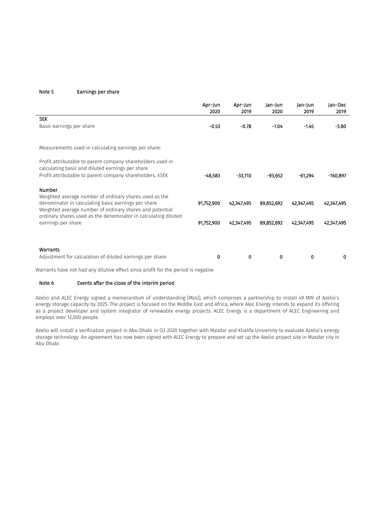#### Note 5 Earnings per share

l,

|                                                                                                                                                                           | Apr-Jun<br>2020 | Apr-Jun<br>2019 | Jan-Jun<br>2020 | Jan-Jun<br>2019 | Jan-Dec<br>2019 |
|---------------------------------------------------------------------------------------------------------------------------------------------------------------------------|-----------------|-----------------|-----------------|-----------------|-----------------|
| <b>SEK</b>                                                                                                                                                                |                 |                 |                 |                 |                 |
| Basic earnings per share                                                                                                                                                  | $-0.53$         | $-0.78$         | $-1.04$         | $-1.45$         | $-3.80$         |
| Measurements used in calculating earnings per share:                                                                                                                      |                 |                 |                 |                 |                 |
| Profit attributable to parent company shareholders used in<br>calculating basic and diluted earnings per share                                                            |                 |                 |                 |                 |                 |
| Profit attributable to parent company shareholders, KSEK                                                                                                                  | $-48.583$       | $-33,110$       | $-93,652$       | $-61,294$       | $-160.897$      |
| <b>Number</b>                                                                                                                                                             |                 |                 |                 |                 |                 |
| Weighted average number of ordinary shares used as the<br>denominator in calculating basic earnings per share<br>Weighted average number of ordinary shares and potential | 91,752,900      | 42,347,495      | 89,852,692      | 42,347,495      | 42,347,495      |
| ordinary shares used as the denominator in calculating diluted<br>earnings per share                                                                                      | 91,752,900      | 42,347,495      | 89,852,692      | 42,347,495      | 42,347,495      |
| Warrants                                                                                                                                                                  |                 |                 |                 |                 |                 |
| Adjustment for calculation of diluted earnings per share:                                                                                                                 | 0               | 0               | 0               | 0               | 0               |

Warrants have not had any dilutive effect since profit for the period is negative

#### Note 6 Events after the close of the interim period

Azelio and ALEC Energy signed a memorandum of understanding (MoU), which comprises a partnership to install 49 MW of Azelio's energy storage capacity by 2025. The project is focused on the Middle East and Africa, where Alec Energy intends to expand its offering as a project developer and system integrator of renewable energy projects. ALEC Energy is a department of ALEC Engineering and employs over 12,000 people.

Azelio will install a verification project in Abu Dhabi in Q3 2020 together with Masdar and Khalifa University to evaluate Azelio's energy storage technology. An agreement has now been signed with ALEC Energy to prepare and set up the Azelio project site in Masdar city in Abu Dhabi.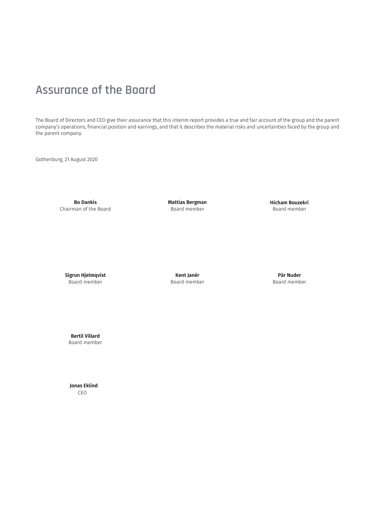# <span id="page-16-0"></span>**Assurance of the Board**

The Board of Directors and CEO give their assurance that this interim report provides a true and fair account of the group and the parent company's operations, financial position and earnings, and that it describes the material risks and uncertainties faced by the group and the parent company.

Gothenburg, 21 August 2020

Bo Dankis Chairman of the Board Mattias Bergman Board member

Hicham Bouzekri Board member

Sigrun Hjelmqvist Board member

Kent Janér Board member

Pär Nuder Board member

Bertil Villard Board member

 Jonas Eklind CEO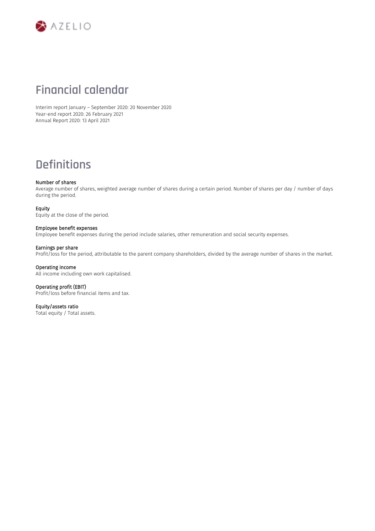

## **Financial calendar**

Interim report January – September 2020: 20 November 2020 Year-end report 2020: 26 February 2021 Annual Report 2020: 13 April 2021

# **Definitions**

#### Number of shares

Average number of shares, weighted average number of shares during a certain period. Number of shares per day / number of days during the period.

#### Equity

Equity at the close of the period.

#### Employee benefit expenses

Employee benefit expenses during the period include salaries, other remuneration and social security expenses.

#### Earnings per share

Profit/loss for the period, attributable to the parent company shareholders, divided by the average number of shares in the market.

#### Operating income

All income including own work capitalised.

#### Operating profit (EBIT) Profit/loss before financial items and tax.

Equity/assets ratio

Total equity / Total assets.